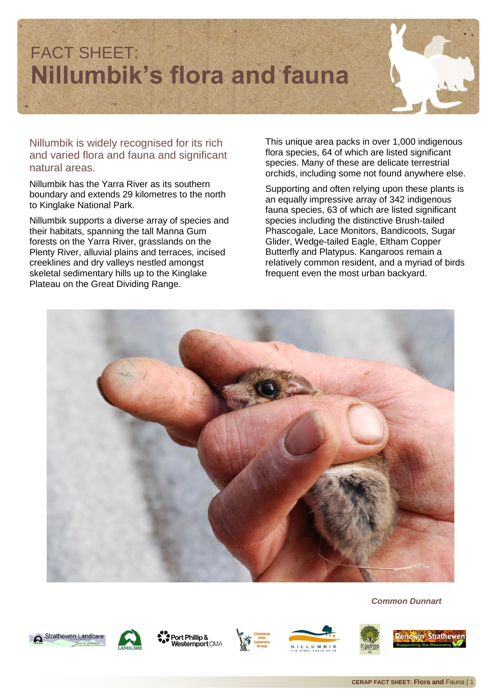

Nillumbik is widely recognised for its rich and varied flora and fauna and significant natural areas.

Nillumbik has the Yarra River as its southern boundary and extends 29 kilometres to the north to Kinglake National Park.

Nillumbik supports a diverse array of species and their habitats, spanning the tall Manna Gum forests on the Yarra River, grasslands on the Plenty River, alluvial plains and terraces, incised creeklines and dry valleys nestled amongst skeletal sedimentary hills up to the Kinglake Plateau on the Great Dividing Range.

This unique area packs in over 1,000 indigenous flora species, 64 of which are listed significant species. Many of these are delicate terrestrial orchids, including some not found anywhere else.

Supporting and often relying upon these plants is an equally impressive array of 342 indigenous fauna species, 63 of which are listed significant species including the distinctive Brush-tailed Phascogale, Lace Monitors, Bandicoots, Sugar Glider, Wedge-tailed Eagle, Eltham Copper Butterfly and Platypus. Kangaroos remain a relatively common resident, and a myriad of birds frequent even the most urban backyard.



*Common Dunnart*



Strathewen Landcare

Port Phillip & **Vesternport CMA** 





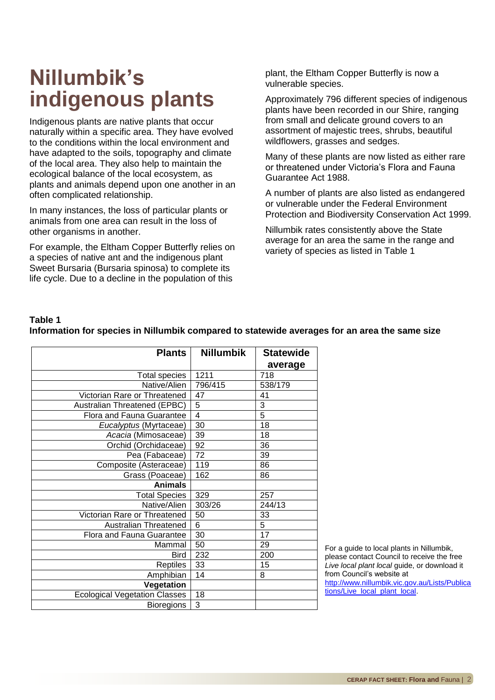### **Nillumbik's indigenous plants**

Indigenous plants are native plants that occur naturally within a specific area. They have evolved to the conditions within the local environment and have adapted to the soils, topography and climate of the local area. They also help to maintain the ecological balance of the local ecosystem, as plants and animals depend upon one another in an often complicated relationship.

In many instances, the loss of particular plants or animals from one area can result in the loss of other organisms in another.

For example, the Eltham Copper Butterfly relies on a species of native ant and the indigenous plant Sweet Bursaria (Bursaria spinosa) to complete its life cycle. Due to a decline in the population of this

plant, the Eltham Copper Butterfly is now a vulnerable species.

Approximately 796 different species of indigenous plants have been recorded in our Shire, ranging from small and delicate ground covers to an assortment of majestic trees, shrubs, beautiful wildflowers, grasses and sedges.

Many of these plants are now listed as either rare or threatened under Victoria's Flora and Fauna Guarantee Act 1988.

A number of plants are also listed as endangered or vulnerable under the Federal Environment Protection and Biodiversity Conservation Act 1999.

Nillumbik rates consistently above the State average for an area the same in the range and variety of species as listed in Table 1

#### **Table 1**

| <b>Nillumbik</b> | <b>Statewide</b>                       |
|------------------|----------------------------------------|
|                  | average                                |
| 1211             | 718                                    |
| 796/415          | 538/179                                |
| 47               | 41                                     |
| 5                | 3                                      |
|                  | $\overline{5}$                         |
|                  | 18                                     |
| 39               | 18                                     |
| 92               | 36                                     |
| 72               | 39                                     |
| 119              | 86                                     |
| 162              | 86                                     |
|                  |                                        |
| 329              | 257                                    |
| 303/26           | 244/13                                 |
| 50               | 33                                     |
|                  | $\overline{5}$                         |
| 30               | 17                                     |
| 50               | 29                                     |
| 232              | 200                                    |
| 33               | 15                                     |
| 14               | 8                                      |
|                  |                                        |
| 18               |                                        |
| 3                |                                        |
|                  | $\overline{4}$<br>30<br>$\overline{6}$ |

#### **Information for species in Nillumbik compared to statewide averages for an area the same size**

For a guide to local plants in Nillumbik, please contact Council to receive the free *Live local plant local* guide, or download it from Council's website at [http://www.nillumbik.vic.gov.au/Lists/Publica](http://www.nillumbik.vic.gov.au/Lists/Publications/Live_local_plant_local) [tions/Live\\_local\\_plant\\_local.](http://www.nillumbik.vic.gov.au/Lists/Publications/Live_local_plant_local)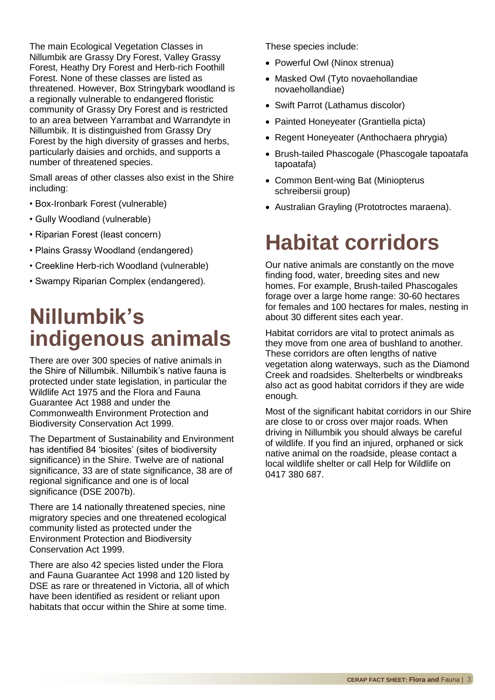The main Ecological Vegetation Classes in Nillumbik are Grassy Dry Forest, Valley Grassy Forest, Heathy Dry Forest and Herb-rich Foothill Forest. None of these classes are listed as threatened. However, Box Stringybark woodland is a regionally vulnerable to endangered floristic community of Grassy Dry Forest and is restricted to an area between Yarrambat and Warrandyte in Nillumbik. It is distinguished from Grassy Dry Forest by the high diversity of grasses and herbs, particularly daisies and orchids, and supports a number of threatened species.

Small areas of other classes also exist in the Shire including:

- Box-Ironbark Forest (vulnerable)
- Gully Woodland (vulnerable)
- Riparian Forest (least concern)
- Plains Grassy Woodland (endangered)
- Creekline Herb-rich Woodland (vulnerable)
- Swampy Riparian Complex (endangered).

## **Nillumbik's indigenous animals**

There are over 300 species of native animals in the Shire of Nillumbik. Nillumbik's native fauna is protected under state legislation, in particular the Wildlife Act 1975 and the Flora and Fauna Guarantee Act 1988 and under the Commonwealth Environment Protection and Biodiversity Conservation Act 1999.

The Department of Sustainability and Environment has identified 84 'biosites' (sites of biodiversity significance) in the Shire. Twelve are of national significance, 33 are of state significance, 38 are of regional significance and one is of local significance (DSE 2007b).

There are 14 nationally threatened species, nine migratory species and one threatened ecological community listed as protected under the Environment Protection and Biodiversity Conservation Act 1999.

There are also 42 species listed under the Flora and Fauna Guarantee Act 1998 and 120 listed by DSE as rare or threatened in Victoria, all of which have been identified as resident or reliant upon habitats that occur within the Shire at some time.

These species include:

- Powerful Owl (Ninox strenua)
- Masked Owl (Tyto novaehollandiae novaehollandiae)
- Swift Parrot (Lathamus discolor)
- Painted Honeyeater (Grantiella picta)
- Regent Honeyeater (Anthochaera phrygia)
- Brush-tailed Phascogale (Phascogale tapoatafa tapoatafa)
- Common Bent-wing Bat (Miniopterus schreibersii group)
- Australian Grayling (Prototroctes maraena).

### **Habitat corridors**

Our native animals are constantly on the move finding food, water, breeding sites and new homes. For example, Brush-tailed Phascogales forage over a large home range: 30-60 hectares for females and 100 hectares for males, nesting in about 30 different sites each year.

Habitat corridors are vital to protect animals as they move from one area of bushland to another. These corridors are often lengths of native vegetation along waterways, such as the Diamond Creek and roadsides. Shelterbelts or windbreaks also act as good habitat corridors if they are wide enough.

Most of the significant habitat corridors in our Shire are close to or cross over major roads. When driving in Nillumbik you should always be careful of wildlife. If you find an injured, orphaned or sick native animal on the roadside, please contact a local wildlife shelter or call Help for Wildlife on 0417 380 687.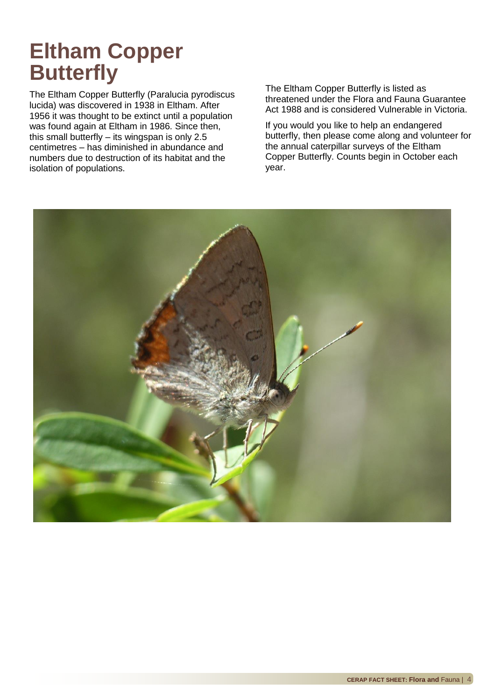### **Eltham Copper Butterfly**

The Eltham Copper Butterfly (Paralucia pyrodiscus lucida) was discovered in 1938 in Eltham. After 1956 it was thought to be extinct until a population was found again at Eltham in 1986. Since then, this small butterfly – its wingspan is only 2.5 centimetres – has diminished in abundance and numbers due to destruction of its habitat and the isolation of populations.

The Eltham Copper Butterfly is listed as threatened under the Flora and Fauna Guarantee Act 1988 and is considered Vulnerable in Victoria.

If you would you like to help an endangered butterfly, then please come along and volunteer for the annual caterpillar surveys of the Eltham Copper Butterfly. Counts begin in October each year.